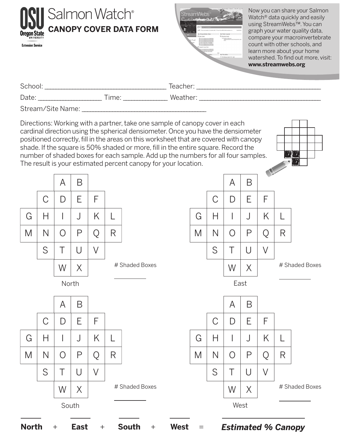|                                                                                                                                                                                                                                                                                                                                                                                                                                                                                                       | <b>Extension Service</b> |                              | Salmon Watch® |    |    |   | <b>CANOPY COVER DATA FORM</b> |  | Now you can share your Salmon<br><b>StreamWebs</b><br>Watch <sup>®</sup> data quickly and easily<br>using StreamWebs™. You can<br>graph your water quality data,<br>compare your macroinvertebrate<br>count with other schools, and<br>learn more about your home<br>watershed. To find out more, visit:<br>www.streamwebs.org |      |            |   |    |   |  |  |
|-------------------------------------------------------------------------------------------------------------------------------------------------------------------------------------------------------------------------------------------------------------------------------------------------------------------------------------------------------------------------------------------------------------------------------------------------------------------------------------------------------|--------------------------|------------------------------|---------------|----|----|---|-------------------------------|--|--------------------------------------------------------------------------------------------------------------------------------------------------------------------------------------------------------------------------------------------------------------------------------------------------------------------------------|------|------------|---|----|---|--|--|
|                                                                                                                                                                                                                                                                                                                                                                                                                                                                                                       |                          |                              |               |    |    |   |                               |  |                                                                                                                                                                                                                                                                                                                                |      |            |   |    |   |  |  |
|                                                                                                                                                                                                                                                                                                                                                                                                                                                                                                       |                          |                              |               |    |    |   |                               |  |                                                                                                                                                                                                                                                                                                                                |      |            |   |    |   |  |  |
|                                                                                                                                                                                                                                                                                                                                                                                                                                                                                                       |                          |                              |               |    |    |   |                               |  |                                                                                                                                                                                                                                                                                                                                |      |            |   |    |   |  |  |
| Directions: Working with a partner, take one sample of canopy cover in each<br>cardinal direction using the spherical densiometer. Once you have the densiometer<br>positioned correctly, fill in the areas on this worksheet that are covered with canopy<br>shade. If the square is 50% shaded or more, fill in the entire square. Record the<br>number of shaded boxes for each sample. Add up the numbers for all four samples.<br>The result is your estimated percent canopy for your location. |                          |                              |               |    |    |   |                               |  |                                                                                                                                                                                                                                                                                                                                |      |            |   |    |   |  |  |
|                                                                                                                                                                                                                                                                                                                                                                                                                                                                                                       |                          |                              | A             | B  |    |   |                               |  |                                                                                                                                                                                                                                                                                                                                |      | A          | Β |    |   |  |  |
|                                                                                                                                                                                                                                                                                                                                                                                                                                                                                                       |                          | С                            | D             | E. | F  |   |                               |  |                                                                                                                                                                                                                                                                                                                                |      | D          | E | F  |   |  |  |
|                                                                                                                                                                                                                                                                                                                                                                                                                                                                                                       | G                        | Н                            |               |    | K. |   |                               |  | G                                                                                                                                                                                                                                                                                                                              | Н    |            |   | K. |   |  |  |
|                                                                                                                                                                                                                                                                                                                                                                                                                                                                                                       | M                        | $\mathbf{A}$<br>$\mathsf{N}$ | U             | P  | Q  | R |                               |  | M                                                                                                                                                                                                                                                                                                                              | N    | $\bigcirc$ | P |    | R |  |  |
|                                                                                                                                                                                                                                                                                                                                                                                                                                                                                                       |                          | S                            | Τ             | U  | V  |   |                               |  |                                                                                                                                                                                                                                                                                                                                | S    | Τ          | U | V  |   |  |  |
| # Shaded Boxes<br>W<br>X                                                                                                                                                                                                                                                                                                                                                                                                                                                                              |                          |                              |               |    |    |   | # Shaded Boxes<br>W<br>X      |  |                                                                                                                                                                                                                                                                                                                                |      |            |   |    |   |  |  |
| North                                                                                                                                                                                                                                                                                                                                                                                                                                                                                                 |                          |                              |               |    |    |   |                               |  |                                                                                                                                                                                                                                                                                                                                | East |            |   |    |   |  |  |
|                                                                                                                                                                                                                                                                                                                                                                                                                                                                                                       |                          |                              | A             | B  |    |   |                               |  |                                                                                                                                                                                                                                                                                                                                |      | A          | Β |    |   |  |  |
|                                                                                                                                                                                                                                                                                                                                                                                                                                                                                                       |                          | C                            | D             | E  | F  |   |                               |  |                                                                                                                                                                                                                                                                                                                                | C    | D          | Ε | F  |   |  |  |
|                                                                                                                                                                                                                                                                                                                                                                                                                                                                                                       | G                        | Н                            |               | J  | K. |   |                               |  | G                                                                                                                                                                                                                                                                                                                              | Н    |            | J | K  |   |  |  |
|                                                                                                                                                                                                                                                                                                                                                                                                                                                                                                       | M                        | N                            | Ő             | Ρ  | Q  | R |                               |  | M                                                                                                                                                                                                                                                                                                                              | N    | O          | Ρ | O  | R |  |  |



South

 $S$   $T$   $U$   $V$ 

 $W \mid X \mid$  # Shaded Boxes

West

 $S$   $T$   $U$   $V$